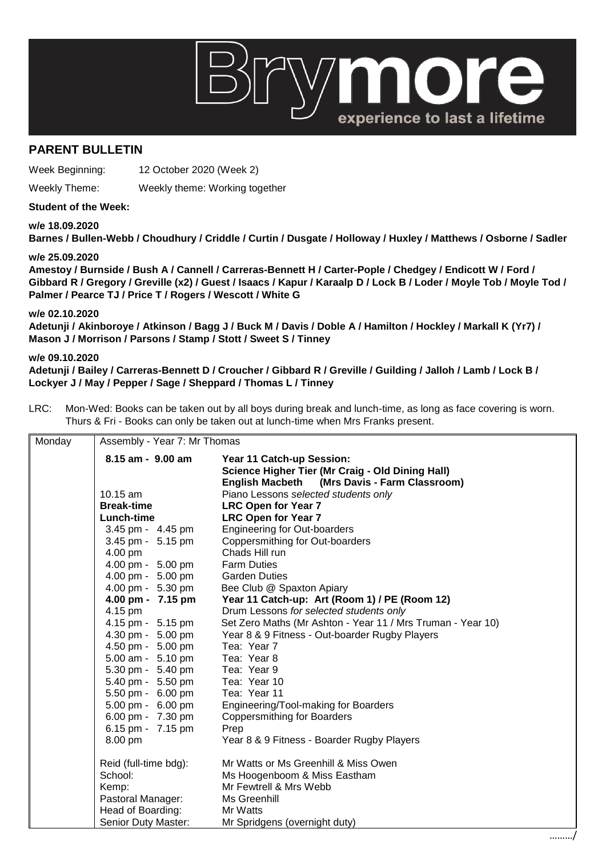# 101 experience to last a lifetime

## **PARENT BULLETIN**

Week Beginning: 12 October 2020 (Week 2)

Weekly Theme: Weekly theme: Working together

### **Student of the Week:**

**w/e 18.09.2020**

**Barnes / Bullen-Webb / Choudhury / Criddle / Curtin / Dusgate / Holloway / Huxley / Matthews / Osborne / Sadler** 

#### **w/e 25.09.2020**

**Amestoy / Burnside / Bush A / Cannell / Carreras-Bennett H / Carter-Pople / Chedgey / Endicott W / Ford / Gibbard R / Gregory / Greville (x2) / Guest / Isaacs / Kapur / Karaalp D / Lock B / Loder / Moyle Tob / Moyle Tod / Palmer / Pearce TJ / Price T / Rogers / Wescott / White G** 

**w/e 02.10.2020**

**Adetunji / Akinboroye / Atkinson / Bagg J / Buck M / Davis / Doble A / Hamilton / Hockley / Markall K (Yr7) / Mason J / Morrison / Parsons / Stamp / Stott / Sweet S / Tinney** 

### **w/e 09.10.2020**

**Adetunji / Bailey / Carreras-Bennett D / Croucher / Gibbard R / Greville / Guilding / Jalloh / Lamb / Lock B / Lockyer J / May / Pepper / Sage / Sheppard / Thomas L / Tinney**

LRC: Mon-Wed: Books can be taken out by all boys during break and lunch-time, as long as face covering is worn. Thurs & Fri - Books can only be taken out at lunch-time when Mrs Franks present.

| Monday | Assembly - Year 7: Mr Thomas |                                                                                                                               |  |
|--------|------------------------------|-------------------------------------------------------------------------------------------------------------------------------|--|
|        | 8.15 am - 9.00 am            | Year 11 Catch-up Session:<br>Science Higher Tier (Mr Craig - Old Dining Hall)<br>English Macbeth (Mrs Davis - Farm Classroom) |  |
|        | 10.15 am                     | Piano Lessons selected students only                                                                                          |  |
|        | <b>Break-time</b>            | <b>LRC Open for Year 7</b>                                                                                                    |  |
|        | Lunch-time                   | <b>LRC Open for Year 7</b>                                                                                                    |  |
|        | 3.45 pm - 4.45 pm            | <b>Engineering for Out-boarders</b>                                                                                           |  |
|        | 3.45 pm - 5.15 pm            | Coppersmithing for Out-boarders                                                                                               |  |
|        | 4.00 pm                      | Chads Hill run                                                                                                                |  |
|        | 4.00 pm - 5.00 pm            | <b>Farm Duties</b>                                                                                                            |  |
|        | 4.00 pm - 5.00 pm            | <b>Garden Duties</b>                                                                                                          |  |
|        | 4.00 pm - 5.30 pm            | Bee Club @ Spaxton Apiary                                                                                                     |  |
|        | 4.00 pm - 7.15 pm            | Year 11 Catch-up: Art (Room 1) / PE (Room 12)                                                                                 |  |
|        | 4.15 pm                      | Drum Lessons for selected students only                                                                                       |  |
|        | 4.15 pm - 5.15 pm            | Set Zero Maths (Mr Ashton - Year 11 / Mrs Truman - Year 10)                                                                   |  |
|        | 4.30 pm - 5.00 pm            | Year 8 & 9 Fitness - Out-boarder Rugby Players                                                                                |  |
|        | 4.50 pm - 5.00 pm            | Tea: Year 7                                                                                                                   |  |
|        | 5.00 am - 5.10 pm            | Tea: Year 8                                                                                                                   |  |
|        | 5.30 pm - 5.40 pm            | Tea: Year 9                                                                                                                   |  |
|        | 5.40 pm - 5.50 pm            | Tea: Year 10                                                                                                                  |  |
|        | 5.50 pm - 6.00 pm            | Tea: Year 11                                                                                                                  |  |
|        | 5.00 pm - 6.00 pm            | Engineering/Tool-making for Boarders                                                                                          |  |
|        | 6.00 pm - 7.30 pm            | <b>Coppersmithing for Boarders</b>                                                                                            |  |
|        | 6.15 pm - 7.15 pm            | Prep                                                                                                                          |  |
|        | 8.00 pm                      | Year 8 & 9 Fitness - Boarder Rugby Players                                                                                    |  |
|        | Reid (full-time bdg):        | Mr Watts or Ms Greenhill & Miss Owen                                                                                          |  |
|        | School:                      | Ms Hoogenboom & Miss Eastham                                                                                                  |  |
|        | Kemp:                        | Mr Fewtrell & Mrs Webb                                                                                                        |  |
|        | Pastoral Manager:            | Ms Greenhill                                                                                                                  |  |
|        | Head of Boarding:            | Mr Watts                                                                                                                      |  |
|        | Senior Duty Master:          | Mr Spridgens (overnight duty)                                                                                                 |  |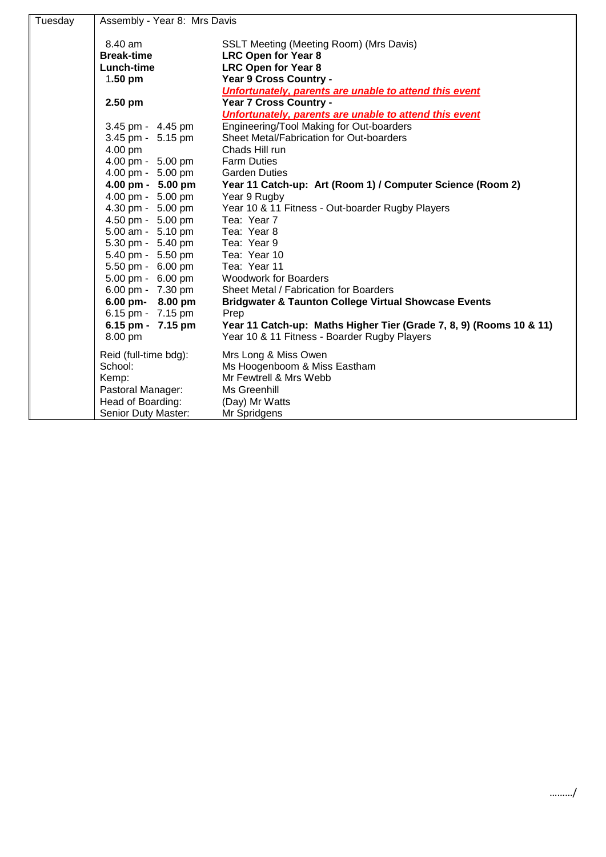| Tuesday | Assembly - Year 8: Mrs Davis |                                                                     |
|---------|------------------------------|---------------------------------------------------------------------|
|         | 8.40 am                      | SSLT Meeting (Meeting Room) (Mrs Davis)                             |
|         | <b>Break-time</b>            | <b>LRC Open for Year 8</b>                                          |
|         | Lunch-time                   | <b>LRC Open for Year 8</b>                                          |
|         | 1.50 pm                      | Year 9 Cross Country -                                              |
|         |                              | Unfortunately, parents are unable to attend this event              |
|         | $2.50$ pm                    | Year 7 Cross Country -                                              |
|         |                              | Unfortunately, parents are unable to attend this event              |
|         | 3.45 pm - 4.45 pm            | Engineering/Tool Making for Out-boarders                            |
|         | 3.45 pm - 5.15 pm            | Sheet Metal/Fabrication for Out-boarders                            |
|         | 4.00 pm                      | Chads Hill run                                                      |
|         | 4.00 pm - 5.00 pm            | <b>Farm Duties</b>                                                  |
|         | 4.00 pm - 5.00 pm            | <b>Garden Duties</b>                                                |
|         | 4.00 pm - 5.00 pm            | Year 11 Catch-up: Art (Room 1) / Computer Science (Room 2)          |
|         | 4.00 pm - 5.00 pm            | Year 9 Rugby                                                        |
|         | 4.30 pm - 5.00 pm            | Year 10 & 11 Fitness - Out-boarder Rugby Players                    |
|         | 4.50 pm - 5.00 pm            | Tea: Year 7                                                         |
|         | 5.00 am - 5.10 pm            | Tea: Year 8                                                         |
|         | 5.30 pm - 5.40 pm            | Tea: Year 9                                                         |
|         | 5.40 pm - 5.50 pm            | Tea: Year 10                                                        |
|         | 5.50 pm - 6.00 pm            | Tea: Year 11                                                        |
|         | 5.00 pm - 6.00 pm            | <b>Woodwork for Boarders</b>                                        |
|         | 6.00 pm - 7.30 pm            | Sheet Metal / Fabrication for Boarders                              |
|         | 6.00 pm- 8.00 pm             | <b>Bridgwater &amp; Taunton College Virtual Showcase Events</b>     |
|         | 6.15 pm - 7.15 pm            | Prep                                                                |
|         | 6.15 pm - 7.15 pm            | Year 11 Catch-up: Maths Higher Tier (Grade 7, 8, 9) (Rooms 10 & 11) |
|         | 8.00 pm                      | Year 10 & 11 Fitness - Boarder Rugby Players                        |
|         | Reid (full-time bdg):        | Mrs Long & Miss Owen                                                |
|         | School:                      | Ms Hoogenboom & Miss Eastham                                        |
|         | Kemp:                        | Mr Fewtrell & Mrs Webb                                              |
|         | Pastoral Manager:            | Ms Greenhill                                                        |
|         | Head of Boarding:            | (Day) Mr Watts                                                      |
|         | Senior Duty Master:          | Mr Spridgens                                                        |
|         |                              |                                                                     |

………/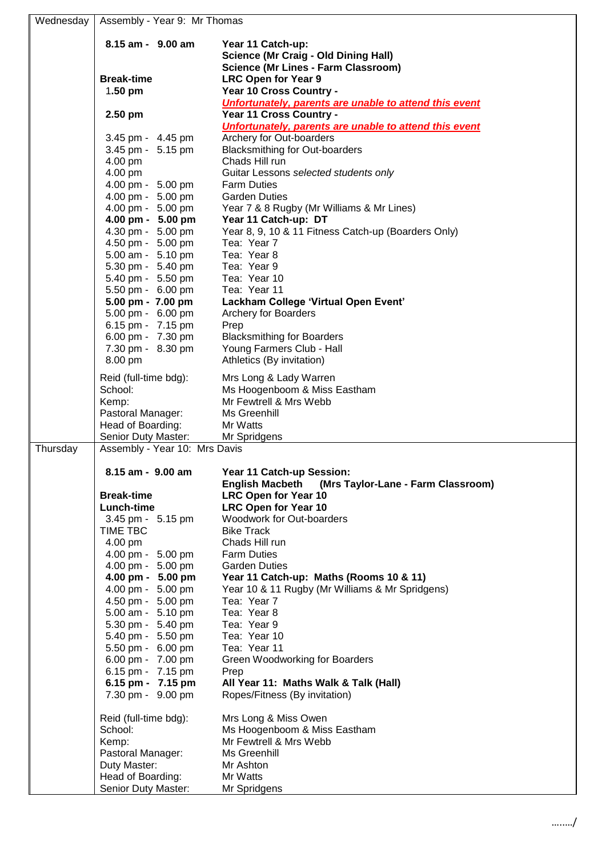| Wednesday | Assembly - Year 9: Mr Thomas                         |                                                                                             |
|-----------|------------------------------------------------------|---------------------------------------------------------------------------------------------|
|           | 8.15 am - 9.00 am                                    | Year 11 Catch-up:                                                                           |
|           |                                                      | <b>Science (Mr Craig - Old Dining Hall)</b>                                                 |
|           | <b>Break-time</b>                                    | <b>Science (Mr Lines - Farm Classroom)</b><br><b>LRC Open for Year 9</b>                    |
|           | $1.50$ pm                                            | Year 10 Cross Country -                                                                     |
|           |                                                      | Unfortunately, parents are unable to attend this event                                      |
|           | 2.50 pm                                              | Year 11 Cross Country -                                                                     |
|           | 3.45 pm - 4.45 pm                                    | Unfortunately, parents are unable to attend this event<br>Archery for Out-boarders          |
|           | 3.45 pm - 5.15 pm                                    | <b>Blacksmithing for Out-boarders</b>                                                       |
|           | 4.00 pm                                              | Chads Hill run                                                                              |
|           | 4.00 pm                                              | Guitar Lessons selected students only                                                       |
|           | 4.00 pm - 5.00 pm<br>4.00 pm - 5.00 pm               | <b>Farm Duties</b><br><b>Garden Duties</b>                                                  |
|           | 4.00 pm - 5.00 pm                                    | Year 7 & 8 Rugby (Mr Williams & Mr Lines)                                                   |
|           | 4.00 pm - 5.00 pm                                    | Year 11 Catch-up: DT                                                                        |
|           | 4.30 pm - 5.00 pm                                    | Year 8, 9, 10 & 11 Fitness Catch-up (Boarders Only)                                         |
|           | 4.50 pm - 5.00 pm<br>5.00 am - 5.10 pm               | Tea: Year 7<br>Tea: Year 8                                                                  |
|           | 5.30 pm - 5.40 pm                                    | Tea: Year 9                                                                                 |
|           | 5.40 pm - 5.50 pm                                    | Tea: Year 10                                                                                |
|           | 5.50 pm - 6.00 pm<br>5.00 pm - 7.00 pm               | Tea: Year 11                                                                                |
|           | 5.00 pm - 6.00 pm                                    | Lackham College 'Virtual Open Event'<br><b>Archery for Boarders</b>                         |
|           | 6.15 pm - 7.15 pm                                    | Prep                                                                                        |
|           | 6.00 pm - 7.30 pm                                    | <b>Blacksmithing for Boarders</b>                                                           |
|           | 7.30 pm - 8.30 pm<br>8.00 pm                         | Young Farmers Club - Hall<br>Athletics (By invitation)                                      |
|           |                                                      |                                                                                             |
|           | Reid (full-time bdg):<br>School:                     | Mrs Long & Lady Warren<br>Ms Hoogenboom & Miss Eastham                                      |
|           | Kemp:                                                | Mr Fewtrell & Mrs Webb                                                                      |
|           | Pastoral Manager:                                    | Ms Greenhill                                                                                |
|           | Head of Boarding:                                    | Mr Watts                                                                                    |
| Thursday  | Senior Duty Master:<br>Assembly - Year 10: Mrs Davis | Mr Spridgens                                                                                |
|           |                                                      |                                                                                             |
|           | 8.15 am - 9.00 am                                    | Year 11 Catch-up Session:                                                                   |
|           | <b>Break-time</b>                                    | (Mrs Taylor-Lane - Farm Classroom)<br><b>English Macbeth</b><br><b>LRC Open for Year 10</b> |
|           | Lunch-time                                           | <b>LRC Open for Year 10</b>                                                                 |
|           | 3.45 pm - 5.15 pm                                    | Woodwork for Out-boarders                                                                   |
|           | TIME TBC<br>4.00 pm                                  | <b>Bike Track</b><br>Chads Hill run                                                         |
|           | 4.00 pm - 5.00 pm                                    | <b>Farm Duties</b>                                                                          |
|           | 4.00 pm - 5.00 pm                                    | <b>Garden Duties</b>                                                                        |
|           | 4.00 pm - 5.00 pm                                    | Year 11 Catch-up: Maths (Rooms 10 & 11)                                                     |
|           | 4.00 pm - 5.00 pm<br>4.50 pm - 5.00 pm               | Year 10 & 11 Rugby (Mr Williams & Mr Spridgens)<br>Tea: Year 7                              |
|           | 5.00 am - 5.10 pm                                    | Tea: Year 8                                                                                 |
|           | 5.30 pm - 5.40 pm                                    | Tea: Year 9                                                                                 |
|           | 5.40 pm - 5.50 pm                                    | Tea: Year 10                                                                                |
|           | 5.50 pm - 6.00 pm<br>6.00 pm - 7.00 pm               | Tea: Year 11<br><b>Green Woodworking for Boarders</b>                                       |
|           | 6.15 pm - 7.15 pm                                    | Prep                                                                                        |
|           | 6.15 pm - 7.15 pm                                    | All Year 11: Maths Walk & Talk (Hall)                                                       |
|           | 7.30 pm - 9.00 pm                                    | Ropes/Fitness (By invitation)                                                               |
|           | Reid (full-time bdg):                                | Mrs Long & Miss Owen                                                                        |
|           | School:                                              | Ms Hoogenboom & Miss Eastham                                                                |
|           | Kemp:                                                | Mr Fewtrell & Mrs Webb                                                                      |
|           | Pastoral Manager:                                    | Ms Greenhill                                                                                |
|           | Duty Master:<br>Head of Boarding:                    | Mr Ashton<br>Mr Watts                                                                       |
|           | Senior Duty Master:                                  | Mr Spridgens                                                                                |